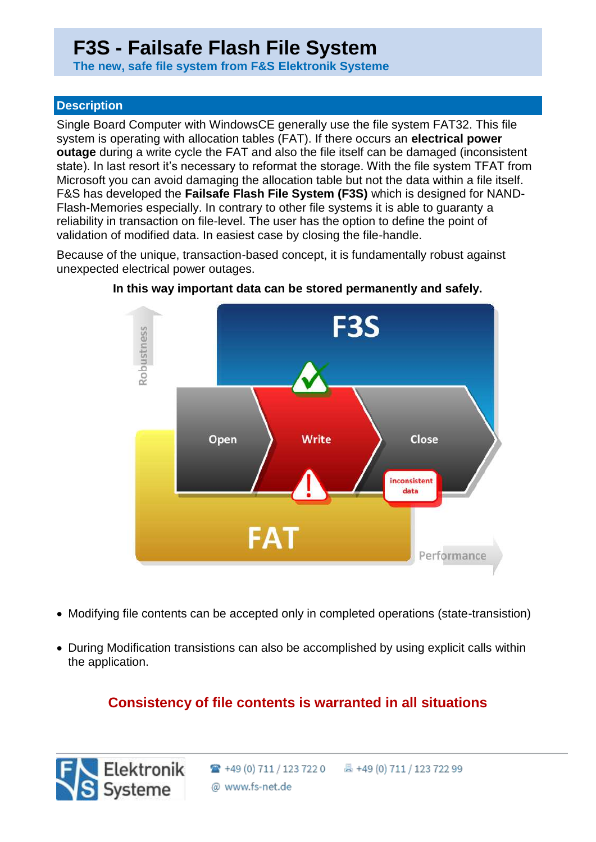# **F3S - Failsafe Flash File System**

 **The new, safe file system from F&S Elektronik Systeme**

### **Description**

Single Board Computer with WindowsCE generally use the file system FAT32. This file system is operating with allocation tables (FAT). If there occurs an **electrical power outage** during a write cycle the FAT and also the file itself can be damaged (inconsistent state). In last resort it's necessary to reformat the storage. With the file system TFAT from Microsoft you can avoid damaging the allocation table but not the data within a file itself. F&S has developed the **Failsafe Flash File System (F3S)** which is designed for NAND-Flash-Memories especially. In contrary to other file systems it is able to guaranty a reliability in transaction on file-level. The user has the option to define the point of validation of modified data. In easiest case by closing the file-handle.

Because of the unique, transaction-based concept, it is fundamentally robust against unexpected electrical power outages.



**In this way important data can be stored permanently and safely.**

- Modifying file contents can be accepted only in completed operations (state-transistion)
- During Modification transistions can also be accomplished by using explicit calls within the application.

## **Consistency of file contents is warranted in all situations**

Elektronik

S Systeme

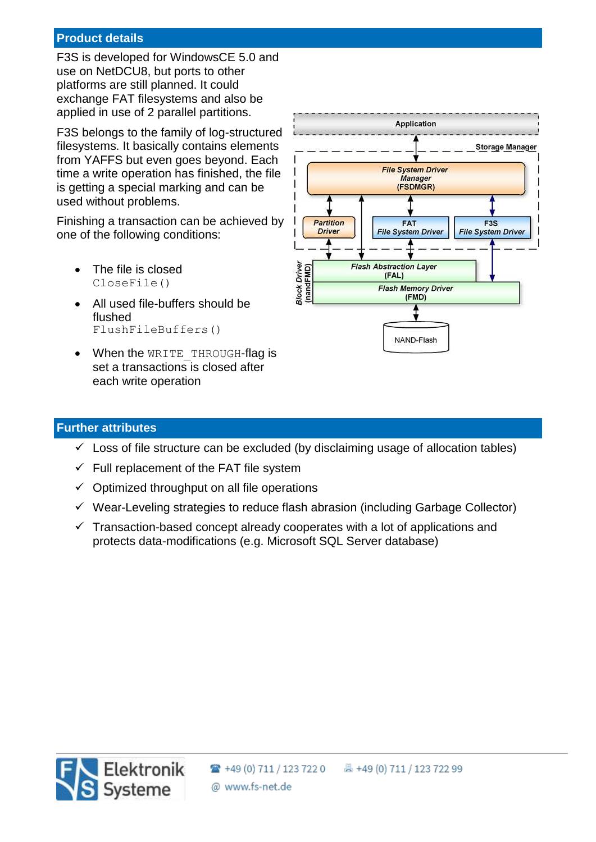#### **Product details**

F3S is developed for WindowsCE 5.0 and use on NetDCU8, but ports to other platforms are still planned. It could exchange FAT filesystems and also be applied in use of 2 parallel partitions.

F3S belongs to the family of log-structured filesystems. It basically contains elements from YAFFS but even goes beyond. Each time a write operation has finished, the file is getting a special marking and can be used without problems.

Finishing a transaction can be achieved by one of the following conditions:

- The file is closed CloseFile()
- All used file-buffers should be flushed FlushFileBuffers()
- When the WRITE THROUGH-flag is set a transactions is closed after each write operation



#### **Further attributes**

Elektronik

S Systeme

- $\checkmark$  Loss of file structure can be excluded (by disclaiming usage of allocation tables)
- $\checkmark$  Full replacement of the FAT file system
- $\checkmark$  Optimized throughput on all file operations
- $\checkmark$  Wear-Leveling strategies to reduce flash abrasion (including Garbage Collector)
- $\checkmark$  Transaction-based concept already cooperates with a lot of applications and protects data-modifications (e.g. Microsoft SQL Server database)